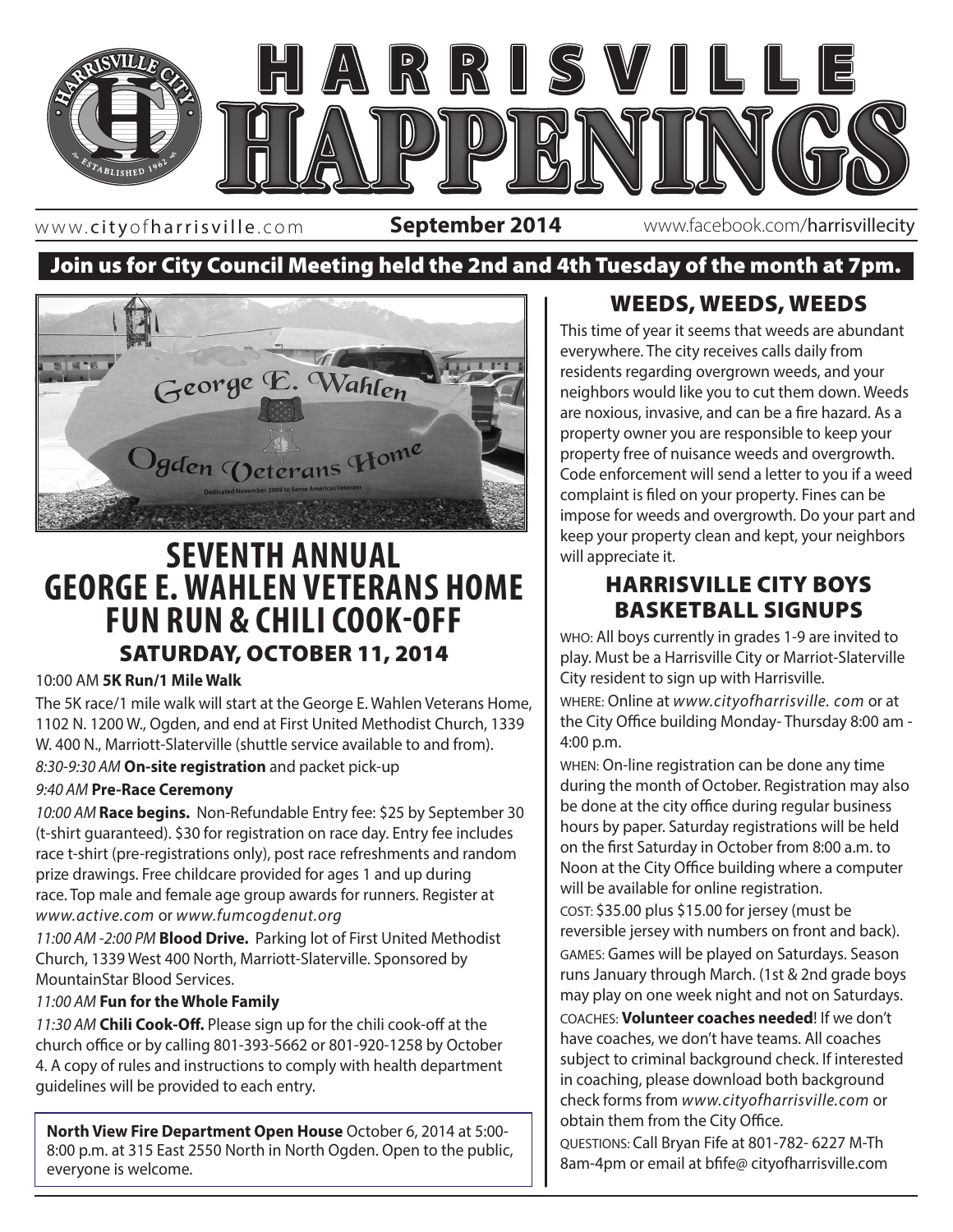

www. cityofharrisville .com

**September 2014** www.facebook.com/harrisvillecity

### Join us for City Council Meeting held the 2nd and 4th Tuesday of the month at 7pm.



# **SEVENTH ANNUAL GEORGE E. WAHLEN VETERANS HOME FUN RUN & CHILI COOK-OFF** SATURDAY, OCTOBER 11, 2014

#### 10:00 AM **5K Run/1 Mile Walk**

The 5K race/1 mile walk will start at the George E. Wahlen Veterans Home, 1102 N. 1200 W., Ogden, and end at First United Methodist Church, 1339 W. 400 N., Marriott-Slaterville (shuttle service available to and from). *8:30-9:30 AM* **On-site registration** and packet pick-up

#### *9:40 AM* **Pre-Race Ceremony**

*10:00 AM* **Race begins.** Non-Refundable Entry fee: \$25 by September 30 (t-shirt guaranteed). \$30 for registration on race day. Entry fee includes race t-shirt (pre-registrations only), post race refreshments and random prize drawings. Free childcare provided for ages 1 and up during race. Top male and female age group awards for runners. Register at *www.active.com* or *www.fumcogdenut.org*

*11:00 AM -2:00 PM* **Blood Drive.** Parking lot of First United Methodist Church, 1339 West 400 North, Marriott-Slaterville. Sponsored by MountainStar Blood Services.

#### *11:00 AM* **Fun for the Whole Family**

*11:30 AM* **Chili Cook-Off.** Please sign up for the chili cook-off at the church office or by calling 801-393-5662 or 801-920-1258 by October 4. A copy of rules and instructions to comply with health department guidelines will be provided to each entry.

**North View Fire Department Open House** October 6, 2014 at 5:00- 8:00 p.m. at 315 East 2550 North in North Ogden. Open to the public, everyone is welcome.

#### WEEDS, WEEDS, WEEDS

This time of year it seems that weeds are abundant everywhere. The city receives calls daily from residents regarding overgrown weeds, and your neighbors would like you to cut them down. Weeds are noxious, invasive, and can be a fire hazard. As a property owner you are responsible to keep your property free of nuisance weeds and overgrowth. Code enforcement will send a letter to you if a weed complaint is filed on your property. Fines can be impose for weeds and overgrowth. Do your part and keep your property clean and kept, your neighbors will appreciate it.

#### HARRISVILLE CITY BOYS BASKETBALL SIGNUPS

**EXECUTE:** WHO: All boys currently in grades 1-9 are invited to play. Must be a Harrisville City or Marriot-Slaterville City resident to sign up with Harrisville.

> WHERE: Online at *www.cityofharrisville. com* or at the City Office building Monday- Thursday 8:00 am - 4:00 p.m.

> WHEN: On-line registration can be done any time during the month of October. Registration may also be done at the city office during regular business hours by paper. Saturday registrations will be held on the first Saturday in October from 8:00 a.m. to Noon at the City Office building where a computer will be available for online registration.

COST: \$35.00 plus \$15.00 for jersey (must be reversible jersey with numbers on front and back). GAMES: Games will be played on Saturdays. Season runs January through March. (1st & 2nd grade boys may play on one week night and not on Saturdays. COACHES: **Volunteer coaches needed**! If we don't have coaches, we don't have teams. All coaches subject to criminal background check. If interested in coaching, please download both background check forms from *www.cityofharrisville.com* or obtain them from the City Office.

QUESTIONS: Call Bryan Fife at 801-782- 6227 M-Th 8am-4pm or email at bfife@ cityofharrisville.com